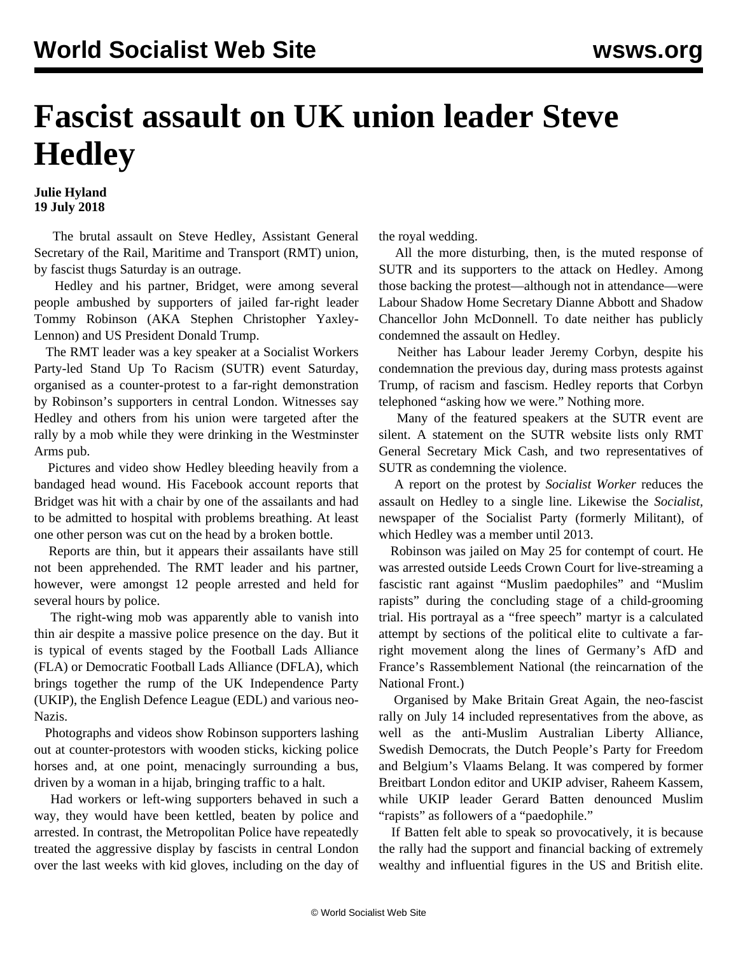## **Fascist assault on UK union leader Steve Hedley**

## **Julie Hyland 19 July 2018**

 The brutal assault on Steve Hedley, Assistant General Secretary of the Rail, Maritime and Transport (RMT) union, by fascist thugs Saturday is an outrage.

 Hedley and his partner, Bridget, were among several people ambushed by supporters of jailed far-right leader Tommy Robinson (AKA Stephen Christopher Yaxley-Lennon) and US President Donald Trump.

 The RMT leader was a key speaker at a Socialist Workers Party-led Stand Up To Racism (SUTR) event Saturday, organised as a counter-protest to a far-right demonstration by Robinson's supporters in central London. Witnesses say Hedley and others from his union were targeted after the rally by a mob while they were drinking in the Westminster Arms pub.

 Pictures and video show Hedley bleeding heavily from a bandaged head wound. His Facebook account reports that Bridget was hit with a chair by one of the assailants and had to be admitted to hospital with problems breathing. At least one other person was cut on the head by a broken bottle.

 Reports are thin, but it appears their assailants have still not been apprehended. The RMT leader and his partner, however, were amongst 12 people arrested and held for several hours by police.

 The right-wing mob was apparently able to vanish into thin air despite a massive police presence on the day. But it is typical of events staged by the Football Lads Alliance (FLA) or Democratic Football Lads Alliance (DFLA), which brings together the rump of the UK Independence Party (UKIP), the English Defence League (EDL) and various neo-Nazis.

 Photographs and videos show Robinson supporters lashing out at counter-protestors with wooden sticks, kicking police horses and, at one point, menacingly surrounding a bus, driven by a woman in a hijab, bringing traffic to a halt.

 Had workers or left-wing supporters behaved in such a way, they would have been kettled, beaten by police and arrested. In contrast, the Metropolitan Police have repeatedly treated the aggressive display by fascists in central London over the last weeks with kid gloves, including on the day of the royal wedding.

 All the more disturbing, then, is the muted response of SUTR and its supporters to the attack on Hedley. Among those backing the protest—although not in attendance—were Labour Shadow Home Secretary Dianne Abbott and Shadow Chancellor John McDonnell. To date neither has publicly condemned the assault on Hedley.

 Neither has Labour leader Jeremy Corbyn, despite his condemnation the previous day, during mass protests against Trump, of racism and fascism. Hedley reports that Corbyn telephoned "asking how we were." Nothing more.

 Many of the featured speakers at the SUTR event are silent. A statement on the SUTR website lists only RMT General Secretary Mick Cash, and two representatives of SUTR as condemning the violence.

 A report on the protest by *Socialist Worker* reduces the assault on Hedley to a single line. Likewise the *Socialist,* newspaper of the Socialist Party (formerly Militant), of which Hedley was a member until 2013.

 Robinson was jailed on May 25 for contempt of court. He was arrested outside Leeds Crown Court for live-streaming a fascistic rant against "Muslim paedophiles" and "Muslim rapists" during the concluding stage of a child-grooming trial. His [portrayal](/en/articles/2018/06/02/robi-j02.html) as a "free speech" martyr is a calculated attempt by sections of the political elite to cultivate a farright movement along the lines of Germany's AfD and France's Rassemblement National (the reincarnation of the National Front.)

 Organised by Make Britain Great Again, the neo-fascist rally on July 14 included representatives from the above, as well as the anti-Muslim Australian Liberty Alliance, Swedish Democrats, the Dutch People's Party for Freedom and Belgium's Vlaams Belang. It was compered by former Breitbart London editor and UKIP adviser, Raheem Kassem, while UKIP leader Gerard Batten denounced Muslim "rapists" as followers of a "paedophile."

 If Batten felt able to speak so provocatively, it is because the rally had the support and financial backing of extremely wealthy and influential figures in the US and British elite.